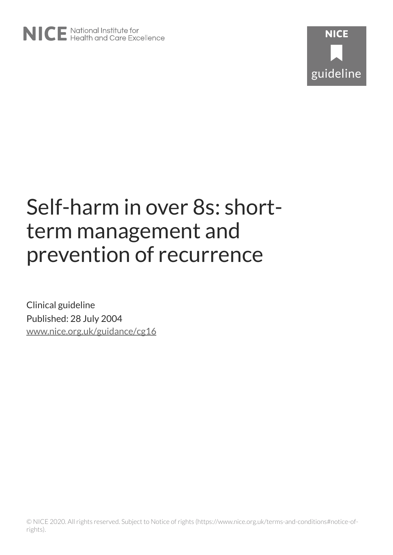# Self-harm in over 8s: shortterm management and prevention of recurrence

Clinical guideline Published: 28 July 2004 [www.nice.org.uk/guidance/cg16](https://www.nice.org.uk/guidance/cg16)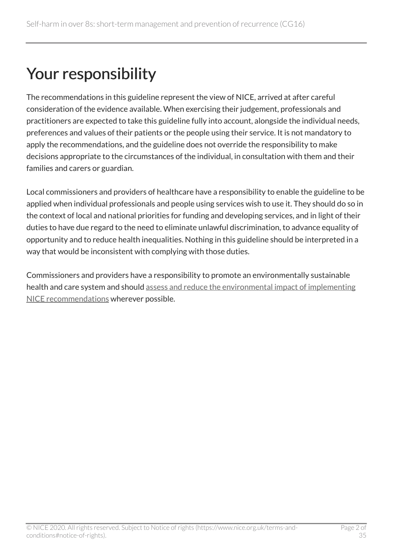# Your responsibility

The recommendations in this guideline represent the view of NICE, arrived at after careful consideration of the evidence available. When exercising their judgement, professionals and practitioners are expected to take this guideline fully into account, alongside the individual needs, preferences and values of their patients or the people using their service. It is not mandatory to apply the recommendations, and the guideline does not override the responsibility to make decisions appropriate to the circumstances of the individual, in consultation with them and their families and carers or guardian.

Local commissioners and providers of healthcare have a responsibility to enable the guideline to be applied when individual professionals and people using services wish to use it. They should do so in the context of local and national priorities for funding and developing services, and in light of their duties to have due regard to the need to eliminate unlawful discrimination, to advance equality of opportunity and to reduce health inequalities. Nothing in this guideline should be interpreted in a way that would be inconsistent with complying with those duties.

Commissioners and providers have a responsibility to promote an environmentally sustainable health and care system and should [assess and reduce the environmental impact of implementing](https://www.nice.org.uk/about/who-we-are/sustainability)  [NICE recommendations](https://www.nice.org.uk/about/who-we-are/sustainability) wherever possible.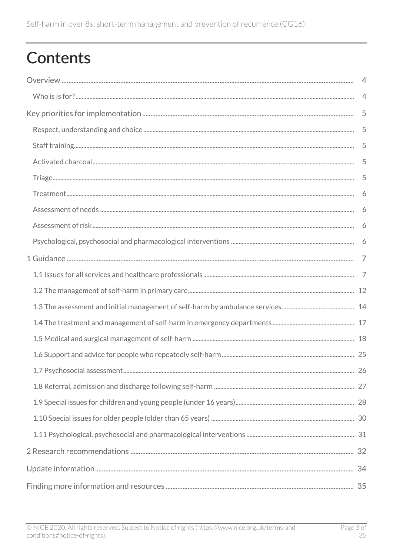# **Contents**

|                                                                                                                                                                                                                                                                                                                                                                                                                                                                                                                                                                      | $\overline{4}$ |
|----------------------------------------------------------------------------------------------------------------------------------------------------------------------------------------------------------------------------------------------------------------------------------------------------------------------------------------------------------------------------------------------------------------------------------------------------------------------------------------------------------------------------------------------------------------------|----------------|
|                                                                                                                                                                                                                                                                                                                                                                                                                                                                                                                                                                      | $\overline{4}$ |
|                                                                                                                                                                                                                                                                                                                                                                                                                                                                                                                                                                      | 5              |
|                                                                                                                                                                                                                                                                                                                                                                                                                                                                                                                                                                      | 5              |
|                                                                                                                                                                                                                                                                                                                                                                                                                                                                                                                                                                      | 5              |
|                                                                                                                                                                                                                                                                                                                                                                                                                                                                                                                                                                      | 5              |
| $Triage. \label{fig:1} \textcolor{red}{Triage.} \textcolor{red}{Triage.} \textcolor{red}{Triage.} \textcolor{red}{Triage.} \textcolor{red}{Triage.} \textcolor{red}{Triage.} \textcolor{red}{Triage.} \textcolor{red}{Triage.} \textcolor{red}{Triage.} \textcolor{red}{Triage.} \textcolor{red}{Triage.} \textcolor{red}{Triage.} \textcolor{red}{Triage.} \textcolor{red}{Triage.} \textcolor{red}{Triage.} \textcolor{red}{Triage.} \textcolor{red}{Triage.} \textcolor{red}{Triage.} \textcolor{red}{Triage.} \textcolor{red}{Triage.} \textcolor{red}{Triage.}$ | 5              |
|                                                                                                                                                                                                                                                                                                                                                                                                                                                                                                                                                                      | 6              |
|                                                                                                                                                                                                                                                                                                                                                                                                                                                                                                                                                                      | - 6            |
|                                                                                                                                                                                                                                                                                                                                                                                                                                                                                                                                                                      | - 6            |
|                                                                                                                                                                                                                                                                                                                                                                                                                                                                                                                                                                      |                |
|                                                                                                                                                                                                                                                                                                                                                                                                                                                                                                                                                                      |                |
|                                                                                                                                                                                                                                                                                                                                                                                                                                                                                                                                                                      |                |
|                                                                                                                                                                                                                                                                                                                                                                                                                                                                                                                                                                      |                |
|                                                                                                                                                                                                                                                                                                                                                                                                                                                                                                                                                                      |                |
|                                                                                                                                                                                                                                                                                                                                                                                                                                                                                                                                                                      |                |
|                                                                                                                                                                                                                                                                                                                                                                                                                                                                                                                                                                      |                |
|                                                                                                                                                                                                                                                                                                                                                                                                                                                                                                                                                                      |                |
|                                                                                                                                                                                                                                                                                                                                                                                                                                                                                                                                                                      |                |
|                                                                                                                                                                                                                                                                                                                                                                                                                                                                                                                                                                      |                |
|                                                                                                                                                                                                                                                                                                                                                                                                                                                                                                                                                                      |                |
|                                                                                                                                                                                                                                                                                                                                                                                                                                                                                                                                                                      |                |
|                                                                                                                                                                                                                                                                                                                                                                                                                                                                                                                                                                      |                |
|                                                                                                                                                                                                                                                                                                                                                                                                                                                                                                                                                                      |                |
|                                                                                                                                                                                                                                                                                                                                                                                                                                                                                                                                                                      |                |
|                                                                                                                                                                                                                                                                                                                                                                                                                                                                                                                                                                      |                |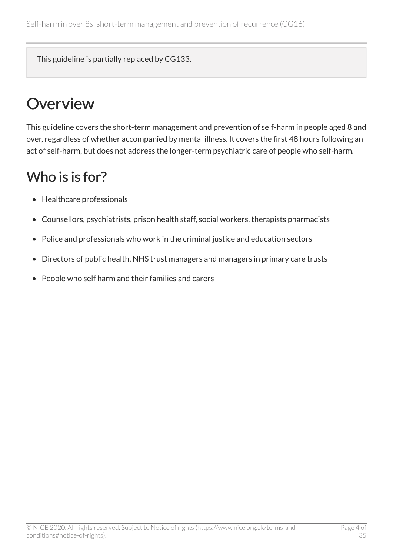This guideline is partially replaced by CG133.

# <span id="page-3-0"></span>**Overview**

This guideline covers the short-term management and prevention of self-harm in people aged 8 and over, regardless of whether accompanied by mental illness. It covers the first 48 hours following an act of self-harm, but does not address the longer-term psychiatric care of people who self-harm.

### <span id="page-3-1"></span>Who is is for?

- Healthcare professionals
- Counsellors, psychiatrists, prison health staff, social workers, therapists pharmacists
- Police and professionals who work in the criminal justice and education sectors
- Directors of public health, NHS trust managers and managers in primary care trusts
- People who self harm and their families and carers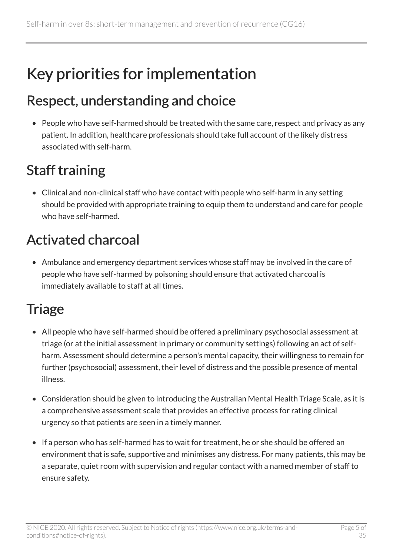# <span id="page-4-0"></span>Key priorities for implementation

### <span id="page-4-1"></span>Respect, understanding and choice

• People who have self-harmed should be treated with the same care, respect and privacy as any patient. In addition, healthcare professionals should take full account of the likely distress associated with self-harm.

## <span id="page-4-2"></span>Staff training

• Clinical and non-clinical staff who have contact with people who self-harm in any setting should be provided with appropriate training to equip them to understand and care for people who have self-harmed.

## <span id="page-4-3"></span>Activated charcoal

• Ambulance and emergency department services whose staff may be involved in the care of people who have self-harmed by poisoning should ensure that activated charcoal is immediately available to staff at all times.

## <span id="page-4-4"></span>**Triage**

- All people who have self-harmed should be offered a preliminary psychosocial assessment at triage (or at the initial assessment in primary or community settings) following an act of selfharm. Assessment should determine a person's mental capacity, their willingness to remain for further (psychosocial) assessment, their level of distress and the possible presence of mental illness.
- Consideration should be given to introducing the Australian Mental Health Triage Scale, as it is a comprehensive assessment scale that provides an effective process for rating clinical urgency so that patients are seen in a timely manner.
- If a person who has self-harmed has to wait for treatment, he or she should be offered an environment that is safe, supportive and minimises any distress. For many patients, this may be a separate, quiet room with supervision and regular contact with a named member of staff to ensure safety.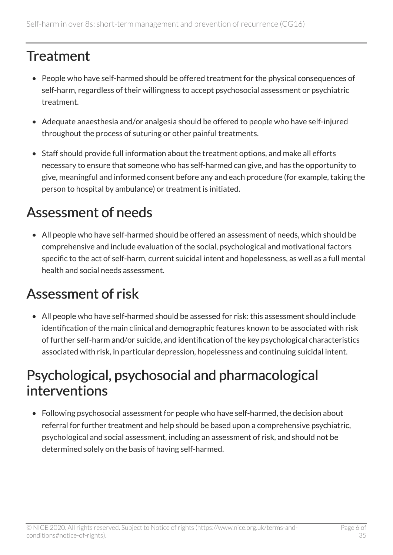### <span id="page-5-0"></span>**Treatment**

- People who have self-harmed should be offered treatment for the physical consequences of self-harm, regardless of their willingness to accept psychosocial assessment or psychiatric treatment.
- Adequate anaesthesia and/or analgesia should be offered to people who have self-injured throughout the process of suturing or other painful treatments.
- Staff should provide full information about the treatment options, and make all efforts necessary to ensure that someone who has self-harmed can give, and has the opportunity to give, meaningful and informed consent before any and each procedure (for example, taking the person to hospital by ambulance) or treatment is initiated.

### <span id="page-5-1"></span>Assessment of needs

• All people who have self-harmed should be offered an assessment of needs, which should be comprehensive and include evaluation of the social, psychological and motivational factors specific to the act of self-harm, current suicidal intent and hopelessness, as well as a full mental health and social needs assessment.

### <span id="page-5-2"></span>Assessment of risk

• All people who have self-harmed should be assessed for risk: this assessment should include identification of the main clinical and demographic features known to be associated with risk of further self-harm and/or suicide, and identification of the key psychological characteristics associated with risk, in particular depression, hopelessness and continuing suicidal intent.

### <span id="page-5-3"></span>Psychological, psychosocial and pharmacological interventions

• Following psychosocial assessment for people who have self-harmed, the decision about referral for further treatment and help should be based upon a comprehensive psychiatric, psychological and social assessment, including an assessment of risk, and should not be determined solely on the basis of having self-harmed.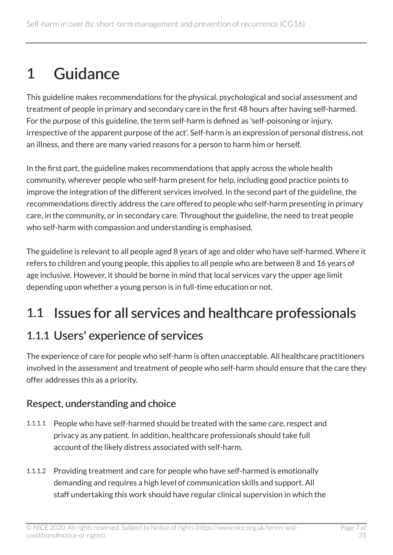# <span id="page-6-0"></span>1 Guidance

This guideline makes recommendations for the physical, psychological and social assessment and treatment of people in primary and secondary care in the first 48 hours after having self-harmed. For the purpose of this guideline, the term self-harm is defined as 'self-poisoning or injury, irrespective of the apparent purpose of the act'. Self-harm is an expression of personal distress, not an illness, and there are many varied reasons for a person to harm him or herself.

In the first part, the guideline makes recommendations that apply across the whole health community, wherever people who self-harm present for help, including good practice points to improve the integration of the different services involved. In the second part of the guideline, the recommendations directly address the care offered to people who self-harm presenting in primary care, in the community, or in secondary care. Throughout the guideline, the need to treat people who self-harm with compassion and understanding is emphasised.

The guideline is relevant to all people aged 8 years of age and older who have self-harmed. Where it refers to children and young people, this applies to all people who are between 8 and 16 years of age inclusive. However, it should be borne in mind that local services vary the upper age limit depending upon whether a young person is in full-time education or not.

## <span id="page-6-1"></span>1.1 Issues for all services and healthcare professionals

### 1.1.1 Users' experience of services

The experience of care for people who self-harm is often unacceptable. All healthcare practitioners involved in the assessment and treatment of people who self-harm should ensure that the care they offer addresses this as a priority.

#### Respect, understanding and choice

- 1.1.1.1 People who have self-harmed should be treated with the same care, respect and privacy as any patient. In addition, healthcare professionals should take full account of the likely distress associated with self-harm.
- 1.1.1.2 Providing treatment and care for people who have self-harmed is emotionally demanding and requires a high level of communication skills and support. All staff undertaking this work should have regular clinical supervision in which the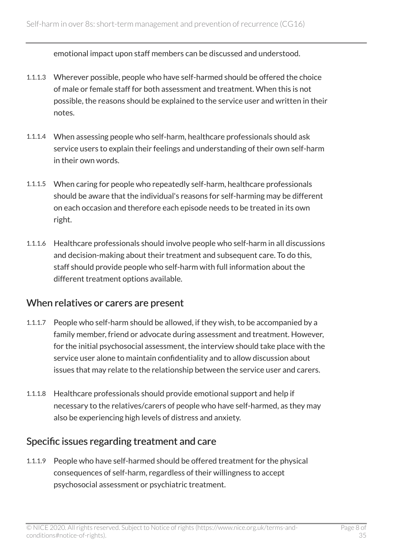emotional impact upon staff members can be discussed and understood.

- 1.1.1.3 Wherever possible, people who have self-harmed should be offered the choice of male or female staff for both assessment and treatment. When this is not possible, the reasons should be explained to the service user and written in their notes.
- 1.1.1.4 When assessing people who self-harm, healthcare professionals should ask service users to explain their feelings and understanding of their own self-harm in their own words.
- 1.1.1.5 When caring for people who repeatedly self-harm, healthcare professionals should be aware that the individual's reasons for self-harming may be different on each occasion and therefore each episode needs to be treated in its own right.
- 1.1.1.6 Healthcare professionals should involve people who self-harm in all discussions and decision-making about their treatment and subsequent care. To do this, staff should provide people who self-harm with full information about the different treatment options available.

#### When relatives or carers are present

- 1.1.1.7 People who self-harm should be allowed, if they wish, to be accompanied by a family member, friend or advocate during assessment and treatment. However, for the initial psychosocial assessment, the interview should take place with the service user alone to maintain confidentiality and to allow discussion about issues that may relate to the relationship between the service user and carers.
- 1.1.1.8 Healthcare professionals should provide emotional support and help if necessary to the relatives/carers of people who have self-harmed, as they may also be experiencing high levels of distress and anxiety.

#### Specific issues regarding treatment and care

1.1.1.9 People who have self-harmed should be offered treatment for the physical consequences of self-harm, regardless of their willingness to accept psychosocial assessment or psychiatric treatment.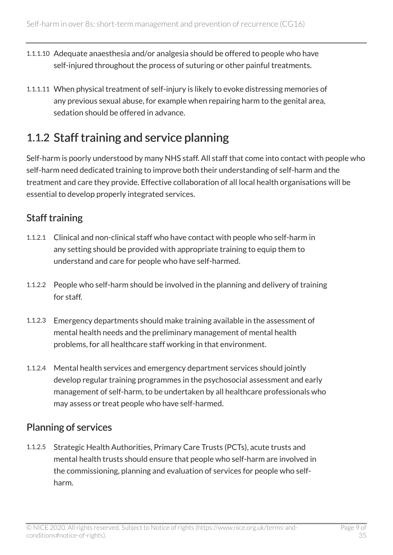- 1.1.1.10 Adequate anaesthesia and/or analgesia should be offered to people who have self-injured throughout the process of suturing or other painful treatments.
- 1.1.1.11 When physical treatment of self-injury is likely to evoke distressing memories of any previous sexual abuse, for example when repairing harm to the genital area, sedation should be offered in advance.

### 1.1.2 Staff training and service planning

Self-harm is poorly understood by many NHS staff. All staff that come into contact with people who self-harm need dedicated training to improve both their understanding of self-harm and the treatment and care they provide. Effective collaboration of all local health organisations will be essential to develop properly integrated services.

#### Staff training

- 1.1.2.1 Clinical and non-clinical staff who have contact with people who self-harm in any setting should be provided with appropriate training to equip them to understand and care for people who have self-harmed.
- 1.1.2.2 People who self-harm should be involved in the planning and delivery of training for staff.
- 1.1.2.3 Emergency departments should make training available in the assessment of mental health needs and the preliminary management of mental health problems, for all healthcare staff working in that environment.
- 1.1.2.4 Mental health services and emergency department services should jointly develop regular training programmes in the psychosocial assessment and early management of self-harm, to be undertaken by all healthcare professionals who may assess or treat people who have self-harmed.

#### Planning of services

1.1.2.5 Strategic Health Authorities, Primary Care Trusts (PCTs), acute trusts and mental health trusts should ensure that people who self-harm are involved in the commissioning, planning and evaluation of services for people who selfharm.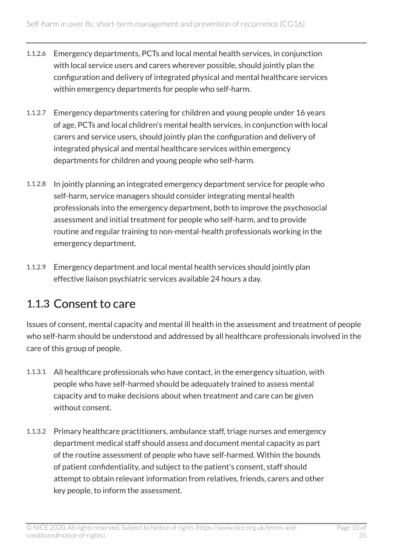- 1.1.2.6 Emergency departments, PCTs and local mental health services, in conjunction with local service users and carers wherever possible, should jointly plan the configuration and delivery of integrated physical and mental healthcare services within emergency departments for people who self-harm.
- 1.1.2.7 Emergency departments catering for children and young people under 16 years of age, PCTs and local children's mental health services, in conjunction with local carers and service users, should jointly plan the configuration and delivery of integrated physical and mental healthcare services within emergency departments for children and young people who self-harm.
- 1.1.2.8 In jointly planning an integrated emergency department service for people who self-harm, service managers should consider integrating mental health professionals into the emergency department, both to improve the psychosocial assessment and initial treatment for people who self-harm, and to provide routine and regular training to non-mental-health professionals working in the emergency department.
- 1.1.2.9 Emergency department and local mental health services should jointly plan effective liaison psychiatric services available 24 hours a day.

### 1.1.3 Consent to care

Issues of consent, mental capacity and mental ill health in the assessment and treatment of people who self-harm should be understood and addressed by all healthcare professionals involved in the care of this group of people.

- 1.1.3.1 All healthcare professionals who have contact, in the emergency situation, with people who have self-harmed should be adequately trained to assess mental capacity and to make decisions about when treatment and care can be given without consent.
- 1.1.3.2 Primary healthcare practitioners, ambulance staff, triage nurses and emergency department medical staff should assess and document mental capacity as part of the routine assessment of people who have self-harmed. Within the bounds of patient confidentiality, and subject to the patient's consent, staff should attempt to obtain relevant information from relatives, friends, carers and other key people, to inform the assessment.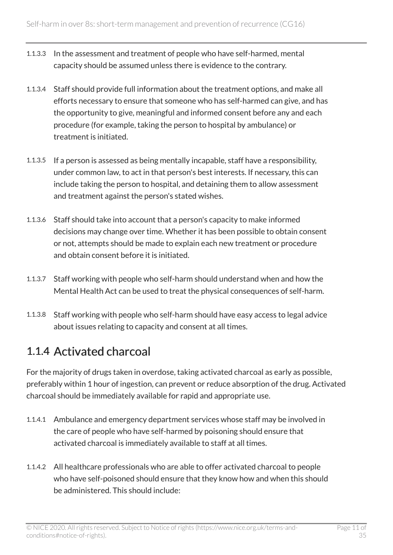- 1.1.3.3 In the assessment and treatment of people who have self-harmed, mental capacity should be assumed unless there is evidence to the contrary.
- 1.1.3.4 Staff should provide full information about the treatment options, and make all efforts necessary to ensure that someone who has self-harmed can give, and has the opportunity to give, meaningful and informed consent before any and each procedure (for example, taking the person to hospital by ambulance) or treatment is initiated.
- 1.1.3.5 If a person is assessed as being mentally incapable, staff have a responsibility, under common law, to act in that person's best interests. If necessary, this can include taking the person to hospital, and detaining them to allow assessment and treatment against the person's stated wishes.
- 1.1.3.6 Staff should take into account that a person's capacity to make informed decisions may change over time. Whether it has been possible to obtain consent or not, attempts should be made to explain each new treatment or procedure and obtain consent before it is initiated.
- 1.1.3.7 Staff working with people who self-harm should understand when and how the Mental Health Act can be used to treat the physical consequences of self-harm.
- 1.1.3.8 Staff working with people who self-harm should have easy access to legal advice about issues relating to capacity and consent at all times.

### 1.1.4 Activated charcoal

For the majority of drugs taken in overdose, taking activated charcoal as early as possible, preferably within 1 hour of ingestion, can prevent or reduce absorption of the drug. Activated charcoal should be immediately available for rapid and appropriate use.

- 1.1.4.1 Ambulance and emergency department services whose staff may be involved in the care of people who have self-harmed by poisoning should ensure that activated charcoal is immediately available to staff at all times.
- 1.1.4.2 All healthcare professionals who are able to offer activated charcoal to people who have self-poisoned should ensure that they know how and when this should be administered. This should include: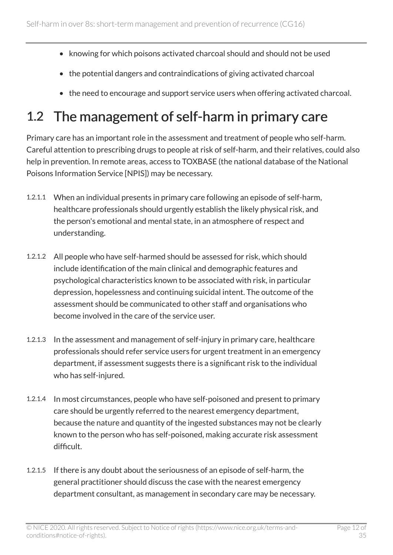- knowing for which poisons activated charcoal should and should not be used
- the potential dangers and contraindications of giving activated charcoal
- the need to encourage and support service users when offering activated charcoal.

## <span id="page-11-0"></span>1.2 The management of self-harm in primary care

Primary care has an important role in the assessment and treatment of people who self-harm. Careful attention to prescribing drugs to people at risk of self-harm, and their relatives, could also help in prevention. In remote areas, access to TOXBASE (the national database of the National Poisons Information Service [NPIS]) may be necessary.

- 1.2.1.1 When an individual presents in primary care following an episode of self-harm, healthcare professionals should urgently establish the likely physical risk, and the person's emotional and mental state, in an atmosphere of respect and understanding.
- 1.2.1.2 All people who have self-harmed should be assessed for risk, which should include identification of the main clinical and demographic features and psychological characteristics known to be associated with risk, in particular depression, hopelessness and continuing suicidal intent. The outcome of the assessment should be communicated to other staff and organisations who become involved in the care of the service user.
- 1.2.1.3 In the assessment and management of self-injury in primary care, healthcare professionals should refer service users for urgent treatment in an emergency department, if assessment suggests there is a significant risk to the individual who has self-injured.
- 1.2.1.4 In most circumstances, people who have self-poisoned and present to primary care should be urgently referred to the nearest emergency department, because the nature and quantity of the ingested substances may not be clearly known to the person who has self-poisoned, making accurate risk assessment difficult.
- 1.2.1.5 If there is any doubt about the seriousness of an episode of self-harm, the general practitioner should discuss the case with the nearest emergency department consultant, as management in secondary care may be necessary.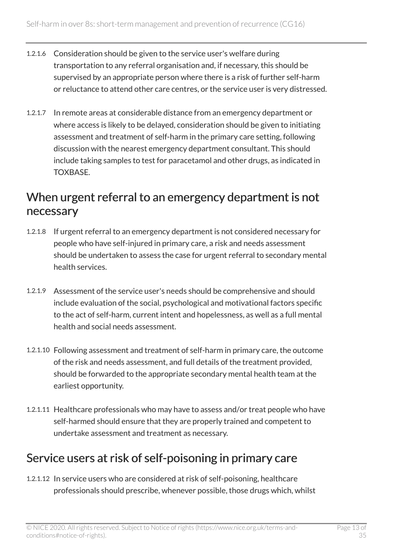- 1.2.1.6 Consideration should be given to the service user's welfare during transportation to any referral organisation and, if necessary, this should be supervised by an appropriate person where there is a risk of further self-harm or reluctance to attend other care centres, or the service user is very distressed.
- 1.2.1.7 In remote areas at considerable distance from an emergency department or where access is likely to be delayed, consideration should be given to initiating assessment and treatment of self-harm in the primary care setting, following discussion with the nearest emergency department consultant. This should include taking samples to test for paracetamol and other drugs, as indicated in **TOXBASE**

#### When urgent referral to an emergency department is not necessary

- 1.2.1.8 If urgent referral to an emergency department is not considered necessary for people who have self-injured in primary care, a risk and needs assessment should be undertaken to assess the case for urgent referral to secondary mental health services.
- 1.2.1.9 Assessment of the service user's needs should be comprehensive and should include evaluation of the social, psychological and motivational factors specific to the act of self-harm, current intent and hopelessness, as well as a full mental health and social needs assessment.
- 1.2.1.10 Following assessment and treatment of self-harm in primary care, the outcome of the risk and needs assessment, and full details of the treatment provided, should be forwarded to the appropriate secondary mental health team at the earliest opportunity.
- 1.2.1.11 Healthcare professionals who may have to assess and/or treat people who have self-harmed should ensure that they are properly trained and competent to undertake assessment and treatment as necessary.

#### Service users at risk of self-poisoning in primary care

1.2.1.12 In service users who are considered at risk of self-poisoning, healthcare professionals should prescribe, whenever possible, those drugs which, whilst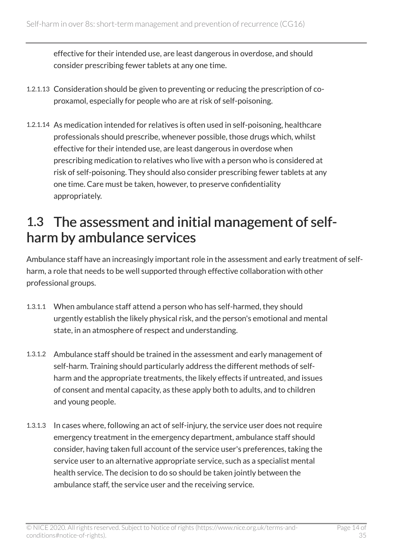effective for their intended use, are least dangerous in overdose, and should consider prescribing fewer tablets at any one time.

- 1.2.1.13 Consideration should be given to preventing or reducing the prescription of coproxamol, especially for people who are at risk of self-poisoning.
- 1.2.1.14 As medication intended for relatives is often used in self-poisoning, healthcare professionals should prescribe, whenever possible, those drugs which, whilst effective for their intended use, are least dangerous in overdose when prescribing medication to relatives who live with a person who is considered at risk of self-poisoning. They should also consider prescribing fewer tablets at any one time. Care must be taken, however, to preserve confidentiality appropriately.

### <span id="page-13-0"></span>1.3 The assessment and initial management of selfharm by ambulance services

Ambulance staff have an increasingly important role in the assessment and early treatment of selfharm, a role that needs to be well supported through effective collaboration with other professional groups.

- 1.3.1.1 When ambulance staff attend a person who has self-harmed, they should urgently establish the likely physical risk, and the person's emotional and mental state, in an atmosphere of respect and understanding.
- 1.3.1.2 Ambulance staff should be trained in the assessment and early management of self-harm. Training should particularly address the different methods of selfharm and the appropriate treatments, the likely effects if untreated, and issues of consent and mental capacity, as these apply both to adults, and to children and young people.
- 1.3.1.3 In cases where, following an act of self-injury, the service user does not require emergency treatment in the emergency department, ambulance staff should consider, having taken full account of the service user's preferences, taking the service user to an alternative appropriate service, such as a specialist mental health service. The decision to do so should be taken jointly between the ambulance staff, the service user and the receiving service.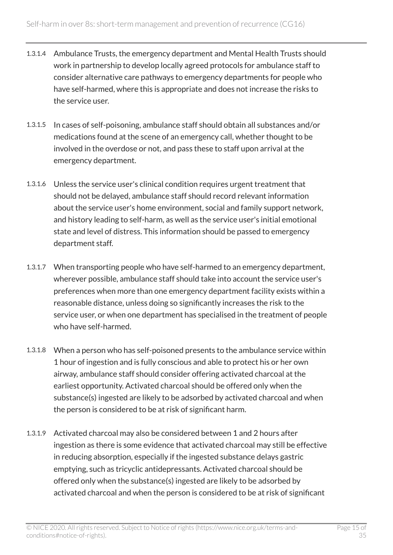- 1.3.1.4 Ambulance Trusts, the emergency department and Mental Health Trusts should work in partnership to develop locally agreed protocols for ambulance staff to consider alternative care pathways to emergency departments for people who have self-harmed, where this is appropriate and does not increase the risks to the service user.
- 1.3.1.5 In cases of self-poisoning, ambulance staff should obtain all substances and/or medications found at the scene of an emergency call, whether thought to be involved in the overdose or not, and pass these to staff upon arrival at the emergency department.
- 1.3.1.6 Unless the service user's clinical condition requires urgent treatment that should not be delayed, ambulance staff should record relevant information about the service user's home environment, social and family support network, and history leading to self-harm, as well as the service user's initial emotional state and level of distress. This information should be passed to emergency department staff.
- 1.3.1.7 When transporting people who have self-harmed to an emergency department, wherever possible, ambulance staff should take into account the service user's preferences when more than one emergency department facility exists within a reasonable distance, unless doing so significantly increases the risk to the service user, or when one department has specialised in the treatment of people who have self-harmed.
- 1.3.1.8 When a person who has self-poisoned presents to the ambulance service within 1 hour of ingestion and is fully conscious and able to protect his or her own airway, ambulance staff should consider offering activated charcoal at the earliest opportunity. Activated charcoal should be offered only when the substance(s) ingested are likely to be adsorbed by activated charcoal and when the person is considered to be at risk of significant harm.
- 1.3.1.9 Activated charcoal may also be considered between 1 and 2 hours after ingestion as there is some evidence that activated charcoal may still be effective in reducing absorption, especially if the ingested substance delays gastric emptying, such as tricyclic antidepressants. Activated charcoal should be offered only when the substance(s) ingested are likely to be adsorbed by activated charcoal and when the person is considered to be at risk of significant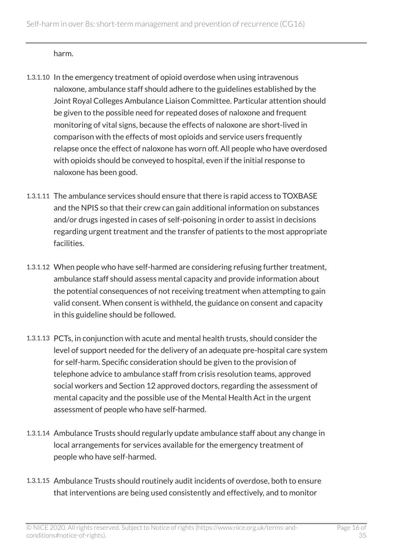harm.

- 1.3.1.10 In the emergency treatment of opioid overdose when using intravenous naloxone, ambulance staff should adhere to the guidelines established by the Joint Royal Colleges Ambulance Liaison Committee. Particular attention should be given to the possible need for repeated doses of naloxone and frequent monitoring of vital signs, because the effects of naloxone are short-lived in comparison with the effects of most opioids and service users frequently relapse once the effect of naloxone has worn off. All people who have overdosed with opioids should be conveyed to hospital, even if the initial response to naloxone has been good.
- 1.3.1.11 The ambulance services should ensure that there is rapid access to TOXBASE and the NPIS so that their crew can gain additional information on substances and/or drugs ingested in cases of self-poisoning in order to assist in decisions regarding urgent treatment and the transfer of patients to the most appropriate facilities.
- 1.3.1.12 When people who have self-harmed are considering refusing further treatment, ambulance staff should assess mental capacity and provide information about the potential consequences of not receiving treatment when attempting to gain valid consent. When consent is withheld, the guidance on consent and capacity in this guideline should be followed.
- 1.3.1.13 PCTs, in conjunction with acute and mental health trusts, should consider the level of support needed for the delivery of an adequate pre-hospital care system for self-harm. Specific consideration should be given to the provision of telephone advice to ambulance staff from crisis resolution teams, approved social workers and Section 12 approved doctors, regarding the assessment of mental capacity and the possible use of the Mental Health Act in the urgent assessment of people who have self-harmed.
- 1.3.1.14 Ambulance Trusts should regularly update ambulance staff about any change in local arrangements for services available for the emergency treatment of people who have self-harmed.
- 1.3.1.15 Ambulance Trusts should routinely audit incidents of overdose, both to ensure that interventions are being used consistently and effectively, and to monitor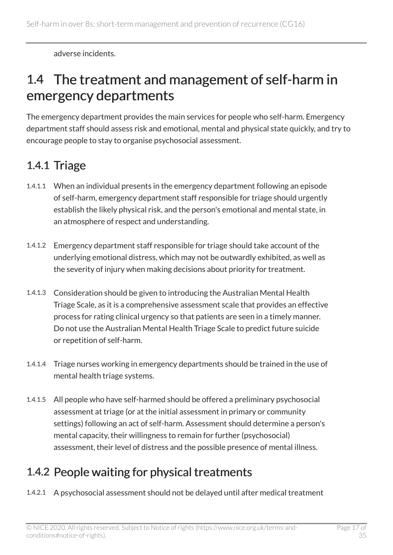adverse incidents.

### <span id="page-16-0"></span>1.4 The treatment and management of self-harm in emergency departments

The emergency department provides the main services for people who self-harm. Emergency department staff should assess risk and emotional, mental and physical state quickly, and try to encourage people to stay to organise psychosocial assessment.

### 1.4.1 Triage

- 1.4.1.1 When an individual presents in the emergency department following an episode of self-harm, emergency department staff responsible for triage should urgently establish the likely physical risk, and the person's emotional and mental state, in an atmosphere of respect and understanding.
- 1.4.1.2 Emergency department staff responsible for triage should take account of the underlying emotional distress, which may not be outwardly exhibited, as well as the severity of injury when making decisions about priority for treatment.
- 1.4.1.3 Consideration should be given to introducing the Australian Mental Health Triage Scale, as it is a comprehensive assessment scale that provides an effective process for rating clinical urgency so that patients are seen in a timely manner. Do not use the Australian Mental Health Triage Scale to predict future suicide or repetition of self-harm.
- 1.4.1.4 Triage nurses working in emergency departments should be trained in the use of mental health triage systems.
- 1.4.1.5 All people who have self-harmed should be offered a preliminary psychosocial assessment at triage (or at the initial assessment in primary or community settings) following an act of self-harm. Assessment should determine a person's mental capacity, their willingness to remain for further (psychosocial) assessment, their level of distress and the possible presence of mental illness.

### 1.4.2 People waiting for physical treatments

1.4.2.1 A psychosocial assessment should not be delayed until after medical treatment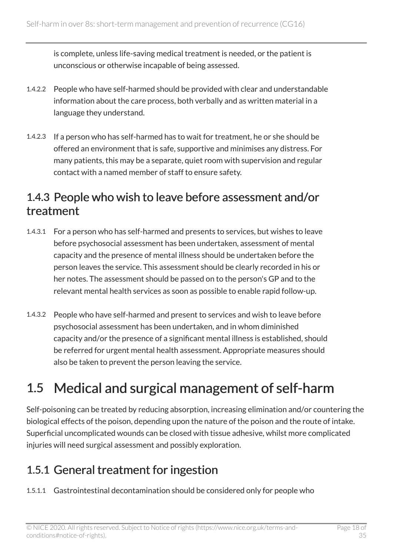is complete, unless life-saving medical treatment is needed, or the patient is unconscious or otherwise incapable of being assessed.

- 1.4.2.2 People who have self-harmed should be provided with clear and understandable information about the care process, both verbally and as written material in a language they understand.
- 1.4.2.3 If a person who has self-harmed has to wait for treatment, he or she should be offered an environment that is safe, supportive and minimises any distress. For many patients, this may be a separate, quiet room with supervision and regular contact with a named member of staff to ensure safety.

#### 1.4.3 People who wish to leave before assessment and/or treatment

- 1.4.3.1 For a person who has self-harmed and presents to services, but wishes to leave before psychosocial assessment has been undertaken, assessment of mental capacity and the presence of mental illness should be undertaken before the person leaves the service. This assessment should be clearly recorded in his or her notes. The assessment should be passed on to the person's GP and to the relevant mental health services as soon as possible to enable rapid follow-up.
- 1.4.3.2 People who have self-harmed and present to services and wish to leave before psychosocial assessment has been undertaken, and in whom diminished capacity and/or the presence of a significant mental illness is established, should be referred for urgent mental health assessment. Appropriate measures should also be taken to prevent the person leaving the service.

### <span id="page-17-0"></span>1.5 Medical and surgical management of self-harm

Self-poisoning can be treated by reducing absorption, increasing elimination and/or countering the biological effects of the poison, depending upon the nature of the poison and the route of intake. Superficial uncomplicated wounds can be closed with tissue adhesive, whilst more complicated injuries will need surgical assessment and possibly exploration.

### 1.5.1 General treatment for ingestion

1.5.1.1 Gastrointestinal decontamination should be considered only for people who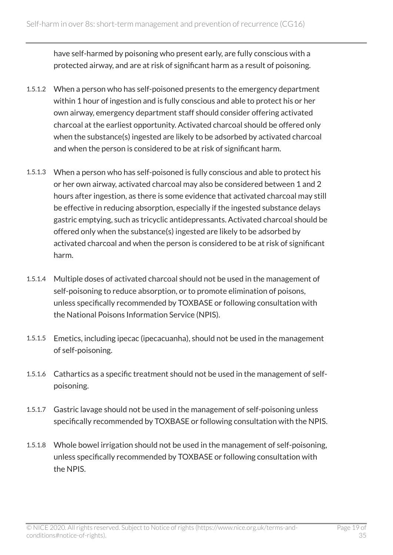have self-harmed by poisoning who present early, are fully conscious with a protected airway, and are at risk of significant harm as a result of poisoning.

- 1.5.1.2 When a person who has self-poisoned presents to the emergency department within 1 hour of ingestion and is fully conscious and able to protect his or her own airway, emergency department staff should consider offering activated charcoal at the earliest opportunity. Activated charcoal should be offered only when the substance(s) ingested are likely to be adsorbed by activated charcoal and when the person is considered to be at risk of significant harm.
- 1.5.1.3 When a person who has self-poisoned is fully conscious and able to protect his or her own airway, activated charcoal may also be considered between 1 and 2 hours after ingestion, as there is some evidence that activated charcoal may still be effective in reducing absorption, especially if the ingested substance delays gastric emptying, such as tricyclic antidepressants. Activated charcoal should be offered only when the substance(s) ingested are likely to be adsorbed by activated charcoal and when the person is considered to be at risk of significant harm.
- 1.5.1.4 Multiple doses of activated charcoal should not be used in the management of self-poisoning to reduce absorption, or to promote elimination of poisons, unless specifically recommended by TOXBASE or following consultation with the National Poisons Information Service (NPIS).
- 1.5.1.5 Emetics, including ipecac (ipecacuanha), should not be used in the management of self-poisoning.
- 1.5.1.6 Cathartics as a specific treatment should not be used in the management of selfpoisoning.
- 1.5.1.7 Gastric lavage should not be used in the management of self-poisoning unless specifically recommended by TOXBASE or following consultation with the NPIS.
- 1.5.1.8 Whole bowel irrigation should not be used in the management of self-poisoning, unless specifically recommended by TOXBASE or following consultation with the NPIS.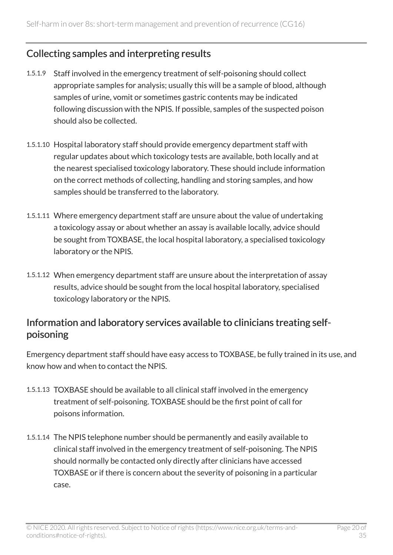#### Collecting samples and interpreting results

- 1.5.1.9 Staff involved in the emergency treatment of self-poisoning should collect appropriate samples for analysis; usually this will be a sample of blood, although samples of urine, vomit or sometimes gastric contents may be indicated following discussion with the NPIS. If possible, samples of the suspected poison should also be collected.
- 1.5.1.10 Hospital laboratory staff should provide emergency department staff with regular updates about which toxicology tests are available, both locally and at the nearest specialised toxicology laboratory. These should include information on the correct methods of collecting, handling and storing samples, and how samples should be transferred to the laboratory.
- 1.5.1.11 Where emergency department staff are unsure about the value of undertaking a toxicology assay or about whether an assay is available locally, advice should be sought from TOXBASE, the local hospital laboratory, a specialised toxicology laboratory or the NPIS.
- 1.5.1.12 When emergency department staff are unsure about the interpretation of assay results, advice should be sought from the local hospital laboratory, specialised toxicology laboratory or the NPIS.

#### Information and laboratory services available to clinicians treating selfpoisoning

Emergency department staff should have easy access to TOXBASE, be fully trained in its use, and know how and when to contact the NPIS.

- 1.5.1.13 TOXBASE should be available to all clinical staff involved in the emergency treatment of self-poisoning. TOXBASE should be the first point of call for poisons information.
- 1.5.1.14 The NPIS telephone number should be permanently and easily available to clinical staff involved in the emergency treatment of self-poisoning. The NPIS should normally be contacted only directly after clinicians have accessed TOXBASE or if there is concern about the severity of poisoning in a particular case.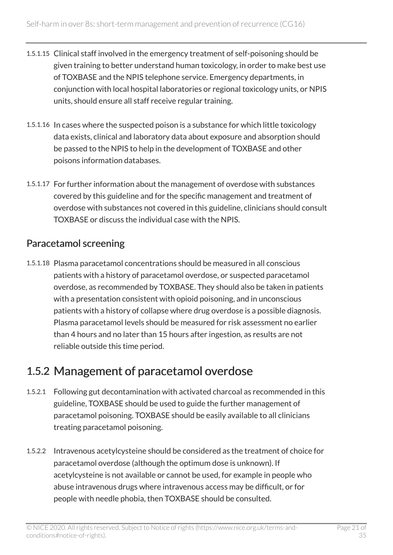- 1.5.1.15 Clinical staff involved in the emergency treatment of self-poisoning should be given training to better understand human toxicology, in order to make best use of TOXBASE and the NPIS telephone service. Emergency departments, in conjunction with local hospital laboratories or regional toxicology units, or NPIS units, should ensure all staff receive regular training.
- 1.5.1.16 In cases where the suspected poison is a substance for which little toxicology data exists, clinical and laboratory data about exposure and absorption should be passed to the NPIS to help in the development of TOXBASE and other poisons information databases.
- 1.5.1.17 For further information about the management of overdose with substances covered by this guideline and for the specific management and treatment of overdose with substances not covered in this guideline, clinicians should consult TOXBASE or discuss the individual case with the NPIS.

#### Paracetamol screening

1.5.1.18 Plasma paracetamol concentrations should be measured in all conscious patients with a history of paracetamol overdose, or suspected paracetamol overdose, as recommended by TOXBASE. They should also be taken in patients with a presentation consistent with opioid poisoning, and in unconscious patients with a history of collapse where drug overdose is a possible diagnosis. Plasma paracetamol levels should be measured for risk assessment no earlier than 4 hours and no later than 15 hours after ingestion, as results are not reliable outside this time period.

### 1.5.2 Management of paracetamol overdose

- 1.5.2.1 Following gut decontamination with activated charcoal as recommended in this guideline, TOXBASE should be used to guide the further management of paracetamol poisoning. TOXBASE should be easily available to all clinicians treating paracetamol poisoning.
- 1.5.2.2 Intravenous acetylcysteine should be considered as the treatment of choice for paracetamol overdose (although the optimum dose is unknown). If acetylcysteine is not available or cannot be used, for example in people who abuse intravenous drugs where intravenous access may be difficult, or for people with needle phobia, then TOXBASE should be consulted.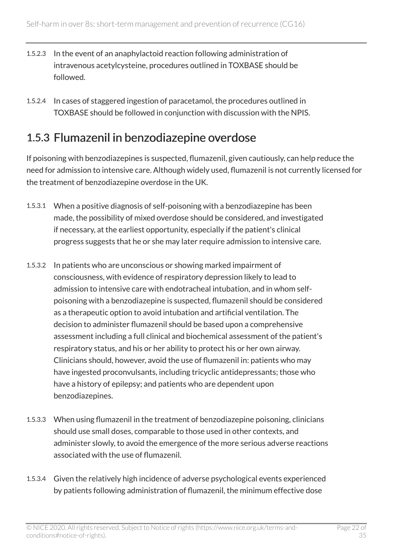- 1.5.2.3 In the event of an anaphylactoid reaction following administration of intravenous acetylcysteine, procedures outlined in TOXBASE should be followed.
- 1.5.2.4 In cases of staggered ingestion of paracetamol, the procedures outlined in TOXBASE should be followed in conjunction with discussion with the NPIS.

#### 1.5.3 Flumazenil in benzodiazepine overdose

If poisoning with benzodiazepines is suspected, flumazenil, given cautiously, can help reduce the need for admission to intensive care. Although widely used, flumazenil is not currently licensed for the treatment of benzodiazepine overdose in the UK.

- 1.5.3.1 When a positive diagnosis of self-poisoning with a benzodiazepine has been made, the possibility of mixed overdose should be considered, and investigated if necessary, at the earliest opportunity, especially if the patient's clinical progress suggests that he or she may later require admission to intensive care.
- 1.5.3.2 In patients who are unconscious or showing marked impairment of consciousness, with evidence of respiratory depression likely to lead to admission to intensive care with endotracheal intubation, and in whom selfpoisoning with a benzodiazepine is suspected, flumazenil should be considered as a therapeutic option to avoid intubation and artificial ventilation. The decision to administer flumazenil should be based upon a comprehensive assessment including a full clinical and biochemical assessment of the patient's respiratory status, and his or her ability to protect his or her own airway. Clinicians should, however, avoid the use of flumazenil in: patients who may have ingested proconvulsants, including tricyclic antidepressants; those who have a history of epilepsy; and patients who are dependent upon benzodiazepines.
- 1.5.3.3 When using flumazenil in the treatment of benzodiazepine poisoning, clinicians should use small doses, comparable to those used in other contexts, and administer slowly, to avoid the emergence of the more serious adverse reactions associated with the use of flumazenil.
- 1.5.3.4 Given the relatively high incidence of adverse psychological events experienced by patients following administration of flumazenil, the minimum effective dose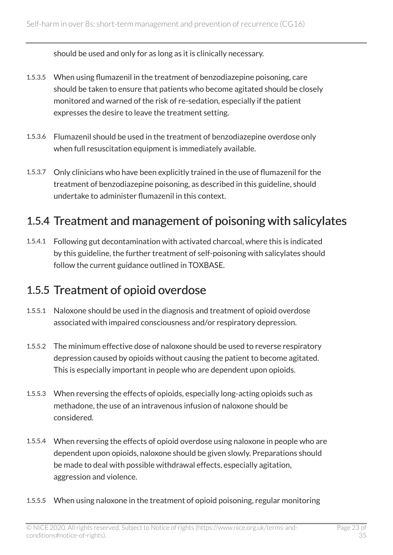should be used and only for as long as it is clinically necessary.

- 1.5.3.5 When using flumazenil in the treatment of benzodiazepine poisoning, care should be taken to ensure that patients who become agitated should be closely monitored and warned of the risk of re-sedation, especially if the patient expresses the desire to leave the treatment setting.
- 1.5.3.6 Flumazenil should be used in the treatment of benzodiazepine overdose only when full resuscitation equipment is immediately available.
- 1.5.3.7 Only clinicians who have been explicitly trained in the use of flumazenil for the treatment of benzodiazepine poisoning, as described in this guideline, should undertake to administer flumazenil in this context.

#### 1.5.4 Treatment and management of poisoning with salicylates

1.5.4.1 Following gut decontamination with activated charcoal, where this is indicated by this guideline, the further treatment of self-poisoning with salicylates should follow the current guidance outlined in TOXBASE.

#### 1.5.5 Treatment of opioid overdose

- 1.5.5.1 Naloxone should be used in the diagnosis and treatment of opioid overdose associated with impaired consciousness and/or respiratory depression.
- 1.5.5.2 The minimum effective dose of naloxone should be used to reverse respiratory depression caused by opioids without causing the patient to become agitated. This is especially important in people who are dependent upon opioids.
- 1.5.5.3 When reversing the effects of opioids, especially long-acting opioids such as methadone, the use of an intravenous infusion of naloxone should be considered.
- 1.5.5.4 When reversing the effects of opioid overdose using naloxone in people who are dependent upon opioids, naloxone should be given slowly. Preparations should be made to deal with possible withdrawal effects, especially agitation, aggression and violence.
- 1.5.5.5 When using naloxone in the treatment of opioid poisoning, regular monitoring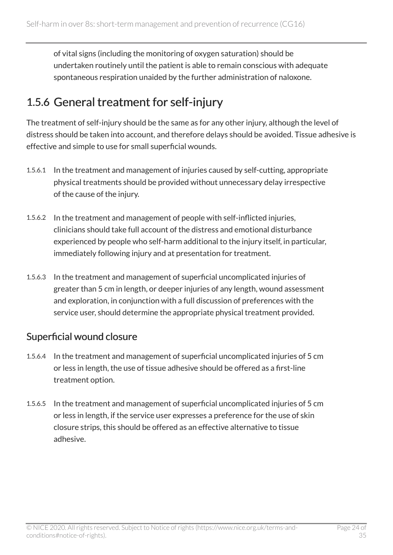of vital signs (including the monitoring of oxygen saturation) should be undertaken routinely until the patient is able to remain conscious with adequate spontaneous respiration unaided by the further administration of naloxone.

#### 1.5.6 General treatment for self-injury

The treatment of self-injury should be the same as for any other injury, although the level of distress should be taken into account, and therefore delays should be avoided. Tissue adhesive is effective and simple to use for small superficial wounds.

- 1.5.6.1 In the treatment and management of injuries caused by self-cutting, appropriate physical treatments should be provided without unnecessary delay irrespective of the cause of the injury.
- 1.5.6.2 In the treatment and management of people with self-inflicted injuries, clinicians should take full account of the distress and emotional disturbance experienced by people who self-harm additional to the injury itself, in particular, immediately following injury and at presentation for treatment.
- 1.5.6.3 In the treatment and management of superficial uncomplicated injuries of greater than 5 cm in length, or deeper injuries of any length, wound assessment and exploration, in conjunction with a full discussion of preferences with the service user, should determine the appropriate physical treatment provided.

#### Superficial wound closure

- 1.5.6.4 In the treatment and management of superficial uncomplicated injuries of 5 cm or less in length, the use of tissue adhesive should be offered as a first-line treatment option.
- 1.5.6.5 In the treatment and management of superficial uncomplicated injuries of 5 cm or less in length, if the service user expresses a preference for the use of skin closure strips, this should be offered as an effective alternative to tissue adhesive.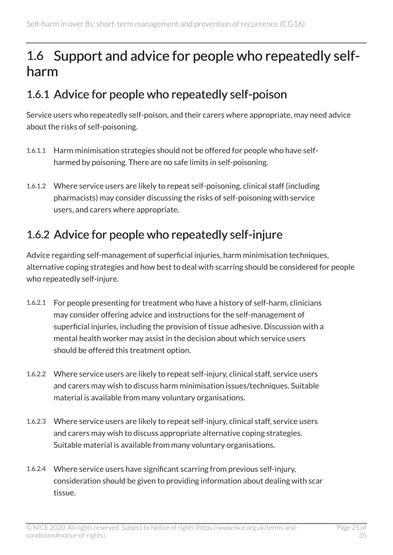### <span id="page-24-0"></span>1.6 Support and advice for people who repeatedly selfharm

#### 1.6.1 Advice for people who repeatedly self-poison

Service users who repeatedly self-poison, and their carers where appropriate, may need advice about the risks of self-poisoning.

- 1.6.1.1 Harm minimisation strategies should not be offered for people who have selfharmed by poisoning. There are no safe limits in self-poisoning.
- 1.6.1.2 Where service users are likely to repeat self-poisoning, clinical staff (including pharmacists) may consider discussing the risks of self-poisoning with service users, and carers where appropriate.

#### 1.6.2 Advice for people who repeatedly self-injure

Advice regarding self-management of superficial injuries, harm minimisation techniques, alternative coping strategies and how best to deal with scarring should be considered for people who repeatedly self-injure.

- 1.6.2.1 For people presenting for treatment who have a history of self-harm, clinicians may consider offering advice and instructions for the self-management of superficial injuries, including the provision of tissue adhesive. Discussion with a mental health worker may assist in the decision about which service users should be offered this treatment option.
- 1.6.2.2 Where service users are likely to repeat self-injury, clinical staff, service users and carers may wish to discuss harm minimisation issues/techniques. Suitable material is available from many voluntary organisations.
- 1.6.2.3 Where service users are likely to repeat self-injury, clinical staff, service users and carers may wish to discuss appropriate alternative coping strategies. Suitable material is available from many voluntary organisations.
- 1.6.2.4 Where service users have significant scarring from previous self-injury, consideration should be given to providing information about dealing with scar tissue.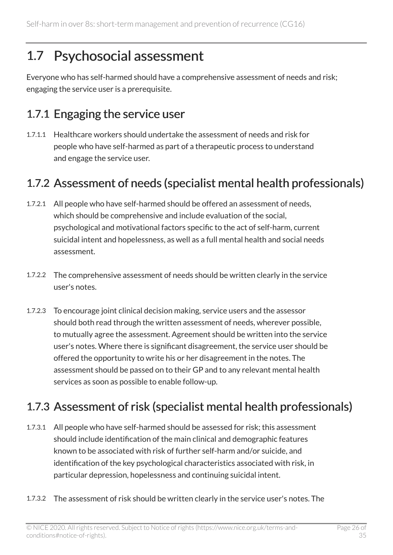### <span id="page-25-0"></span>1.7 Psychosocial assessment

Everyone who has self-harmed should have a comprehensive assessment of needs and risk; engaging the service user is a prerequisite.

### 1.7.1 Engaging the service user

1.7.1.1 Healthcare workers should undertake the assessment of needs and risk for people who have self-harmed as part of a therapeutic process to understand and engage the service user.

#### 1.7.2 Assessment of needs (specialist mental health professionals)

- 1.7.2.1 All people who have self-harmed should be offered an assessment of needs, which should be comprehensive and include evaluation of the social, psychological and motivational factors specific to the act of self-harm, current suicidal intent and hopelessness, as well as a full mental health and social needs assessment.
- 1.7.2.2 The comprehensive assessment of needs should be written clearly in the service user's notes.
- 1.7.2.3 To encourage joint clinical decision making, service users and the assessor should both read through the written assessment of needs, wherever possible, to mutually agree the assessment. Agreement should be written into the service user's notes. Where there is significant disagreement, the service user should be offered the opportunity to write his or her disagreement in the notes. The assessment should be passed on to their GP and to any relevant mental health services as soon as possible to enable follow-up.

### 1.7.3 Assessment of risk (specialist mental health professionals)

- 1.7.3.1 All people who have self-harmed should be assessed for risk; this assessment should include identification of the main clinical and demographic features known to be associated with risk of further self-harm and/or suicide, and identification of the key psychological characteristics associated with risk, in particular depression, hopelessness and continuing suicidal intent.
- 1.7.3.2 The assessment of risk should be written clearly in the service user's notes. The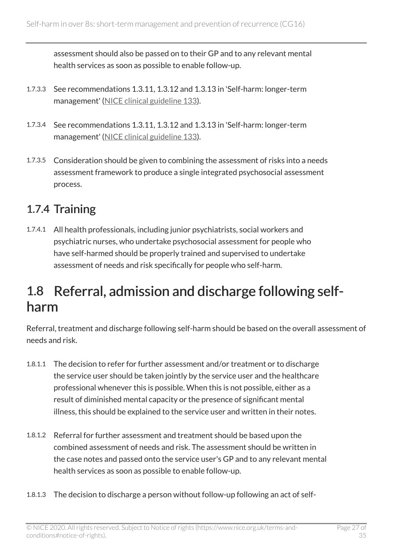assessment should also be passed on to their GP and to any relevant mental health services as soon as possible to enable follow-up.

- 1.7.3.3 See recommendations 1.3.11, 1.3.12 and 1.3.13 in 'Self-harm: longer-term management' [\(NICE clinical guideline 133](http://www.nice.org.uk/guidance/cg133)).
- 1.7.3.4 See recommendations 1.3.11, 1.3.12 and 1.3.13 in 'Self-harm: longer-term management' [\(NICE clinical guideline 133](http://www.nice.org.uk/guidance/cg133)).
- 1.7.3.5 Consideration should be given to combining the assessment of risks into a needs assessment framework to produce a single integrated psychosocial assessment process.

### 1.7.4 Training

1.7.4.1 All health professionals, including junior psychiatrists, social workers and psychiatric nurses, who undertake psychosocial assessment for people who have self-harmed should be properly trained and supervised to undertake assessment of needs and risk specifically for people who self-harm.

### <span id="page-26-0"></span>1.8 Referral, admission and discharge following selfharm

Referral, treatment and discharge following self-harm should be based on the overall assessment of needs and risk.

- 1.8.1.1 The decision to refer for further assessment and/or treatment or to discharge the service user should be taken jointly by the service user and the healthcare professional whenever this is possible. When this is not possible, either as a result of diminished mental capacity or the presence of significant mental illness, this should be explained to the service user and written in their notes.
- 1.8.1.2 Referral for further assessment and treatment should be based upon the combined assessment of needs and risk. The assessment should be written in the case notes and passed onto the service user's GP and to any relevant mental health services as soon as possible to enable follow-up.
- 1.8.1.3 The decision to discharge a person without follow-up following an act of self-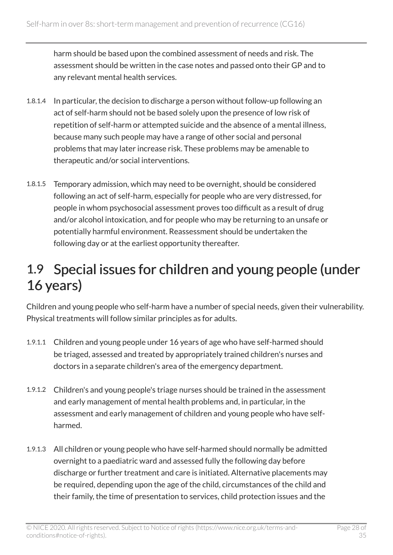harm should be based upon the combined assessment of needs and risk. The assessment should be written in the case notes and passed onto their GP and to any relevant mental health services.

- 1.8.1.4 In particular, the decision to discharge a person without follow-up following an act of self-harm should not be based solely upon the presence of low risk of repetition of self-harm or attempted suicide and the absence of a mental illness, because many such people may have a range of other social and personal problems that may later increase risk. These problems may be amenable to therapeutic and/or social interventions.
- 1.8.1.5 Temporary admission, which may need to be overnight, should be considered following an act of self-harm, especially for people who are very distressed, for people in whom psychosocial assessment proves too difficult as a result of drug and/or alcohol intoxication, and for people who may be returning to an unsafe or potentially harmful environment. Reassessment should be undertaken the following day or at the earliest opportunity thereafter.

### <span id="page-27-0"></span>1.9 Special issues for children and young people (under 16 years)

Children and young people who self-harm have a number of special needs, given their vulnerability. Physical treatments will follow similar principles as for adults.

- 1.9.1.1 Children and young people under 16 years of age who have self-harmed should be triaged, assessed and treated by appropriately trained children's nurses and doctors in a separate children's area of the emergency department.
- 1.9.1.2 Children's and young people's triage nurses should be trained in the assessment and early management of mental health problems and, in particular, in the assessment and early management of children and young people who have selfharmed.
- 1.9.1.3 All children or young people who have self-harmed should normally be admitted overnight to a paediatric ward and assessed fully the following day before discharge or further treatment and care is initiated. Alternative placements may be required, depending upon the age of the child, circumstances of the child and their family, the time of presentation to services, child protection issues and the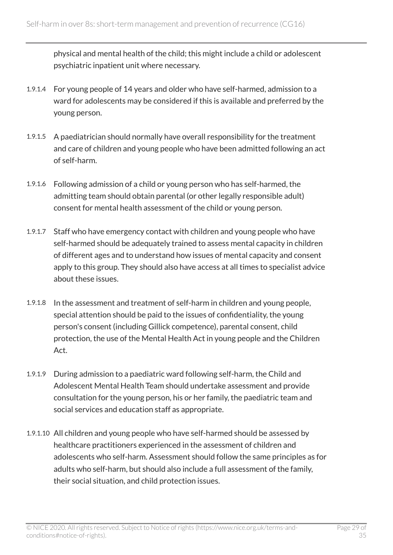physical and mental health of the child; this might include a child or adolescent psychiatric inpatient unit where necessary.

- 1.9.1.4 For young people of 14 years and older who have self-harmed, admission to a ward for adolescents may be considered if this is available and preferred by the young person.
- 1.9.1.5 A paediatrician should normally have overall responsibility for the treatment and care of children and young people who have been admitted following an act of self-harm.
- 1.9.1.6 Following admission of a child or young person who has self-harmed, the admitting team should obtain parental (or other legally responsible adult) consent for mental health assessment of the child or young person.
- 1.9.1.7 Staff who have emergency contact with children and young people who have self-harmed should be adequately trained to assess mental capacity in children of different ages and to understand how issues of mental capacity and consent apply to this group. They should also have access at all times to specialist advice about these issues.
- 1.9.1.8 In the assessment and treatment of self-harm in children and young people, special attention should be paid to the issues of confidentiality, the young person's consent (including Gillick competence), parental consent, child protection, the use of the Mental Health Act in young people and the Children Act.
- 1.9.1.9 During admission to a paediatric ward following self-harm, the Child and Adolescent Mental Health Team should undertake assessment and provide consultation for the young person, his or her family, the paediatric team and social services and education staff as appropriate.
- 1.9.1.10 All children and young people who have self-harmed should be assessed by healthcare practitioners experienced in the assessment of children and adolescents who self-harm. Assessment should follow the same principles as for adults who self-harm, but should also include a full assessment of the family, their social situation, and child protection issues.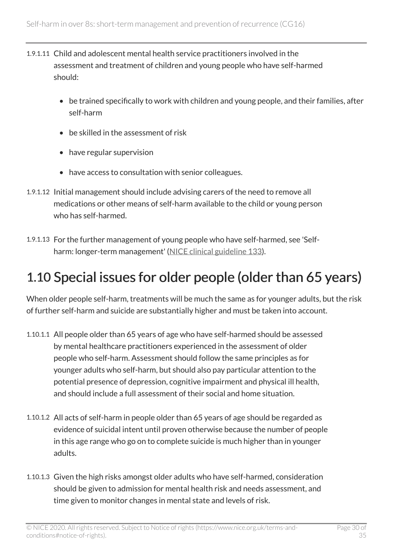- 1.9.1.11 Child and adolescent mental health service practitioners involved in the assessment and treatment of children and young people who have self-harmed should:
	- be trained specifically to work with children and young people, and their families, after self-harm
	- be skilled in the assessment of risk
	- have regular supervision
	- have access to consultation with senior colleagues.
- 1.9.1.12 Initial management should include advising carers of the need to remove all medications or other means of self-harm available to the child or young person who has self-harmed.
- 1.9.1.13 For the further management of young people who have self-harmed, see 'Selfharm: longer-term management' ([NICE clinical guideline 133\)](http://www.nice.org.uk/guidance/cg133).

## <span id="page-29-0"></span>1.10 Special issues for older people (older than 65 years)

When older people self-harm, treatments will be much the same as for younger adults, but the risk of further self-harm and suicide are substantially higher and must be taken into account.

- 1.10.1.1 All people older than 65 years of age who have self-harmed should be assessed by mental healthcare practitioners experienced in the assessment of older people who self-harm. Assessment should follow the same principles as for younger adults who self-harm, but should also pay particular attention to the potential presence of depression, cognitive impairment and physical ill health, and should include a full assessment of their social and home situation.
- 1.10.1.2 All acts of self-harm in people older than 65 years of age should be regarded as evidence of suicidal intent until proven otherwise because the number of people in this age range who go on to complete suicide is much higher than in younger adults.
- 1.10.1.3 Given the high risks amongst older adults who have self-harmed, consideration should be given to admission for mental health risk and needs assessment, and time given to monitor changes in mental state and levels of risk.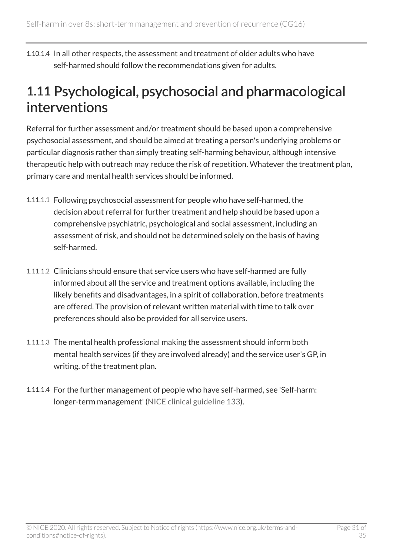1.10.1.4 In all other respects, the assessment and treatment of older adults who have self-harmed should follow the recommendations given for adults.

### <span id="page-30-0"></span>1.11 Psychological, psychosocial and pharmacological interventions

Referral for further assessment and/or treatment should be based upon a comprehensive psychosocial assessment, and should be aimed at treating a person's underlying problems or particular diagnosis rather than simply treating self-harming behaviour, although intensive therapeutic help with outreach may reduce the risk of repetition. Whatever the treatment plan, primary care and mental health services should be informed.

- 1.11.1.1 Following psychosocial assessment for people who have self-harmed, the decision about referral for further treatment and help should be based upon a comprehensive psychiatric, psychological and social assessment, including an assessment of risk, and should not be determined solely on the basis of having self-harmed.
- 1.11.1.2 Clinicians should ensure that service users who have self-harmed are fully informed about all the service and treatment options available, including the likely benefits and disadvantages, in a spirit of collaboration, before treatments are offered. The provision of relevant written material with time to talk over preferences should also be provided for all service users.
- 1.11.1.3 The mental health professional making the assessment should inform both mental health services (if they are involved already) and the service user's GP, in writing, of the treatment plan.
- 1.11.1.4 For the further management of people who have self-harmed, see 'Self-harm: longer-term management' ([NICE clinical guideline 133\)](http://www.nice.org.uk/guidance/cg133).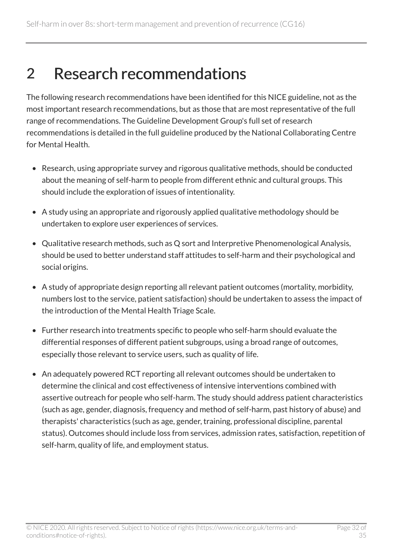## <span id="page-31-0"></span>2 Research recommendations

The following research recommendations have been identified for this NICE guideline, not as the most important research recommendations, but as those that are most representative of the full range of recommendations. The Guideline Development Group's full set of research recommendations is detailed in the full guideline produced by the National Collaborating Centre for Mental Health.

- Research, using appropriate survey and rigorous qualitative methods, should be conducted about the meaning of self-harm to people from different ethnic and cultural groups. This should include the exploration of issues of intentionality.
- A study using an appropriate and rigorously applied qualitative methodology should be undertaken to explore user experiences of services.
- Qualitative research methods, such as Q sort and Interpretive Phenomenological Analysis, should be used to better understand staff attitudes to self-harm and their psychological and social origins.
- A study of appropriate design reporting all relevant patient outcomes (mortality, morbidity, numbers lost to the service, patient satisfaction) should be undertaken to assess the impact of the introduction of the Mental Health Triage Scale.
- Further research into treatments specific to people who self-harm should evaluate the differential responses of different patient subgroups, using a broad range of outcomes, especially those relevant to service users, such as quality of life.
- An adequately powered RCT reporting all relevant outcomes should be undertaken to determine the clinical and cost effectiveness of intensive interventions combined with assertive outreach for people who self-harm. The study should address patient characteristics (such as age, gender, diagnosis, frequency and method of self-harm, past history of abuse) and therapists' characteristics (such as age, gender, training, professional discipline, parental status). Outcomes should include loss from services, admission rates, satisfaction, repetition of self-harm, quality of life, and employment status.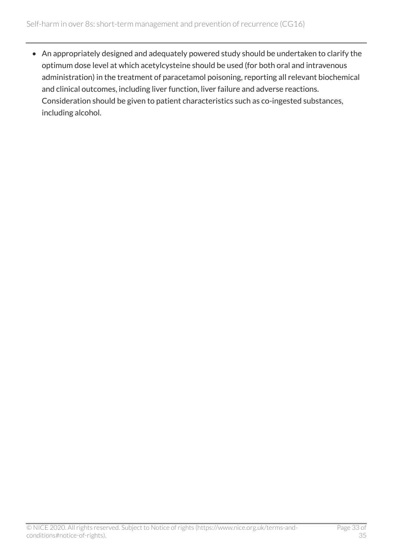• An appropriately designed and adequately powered study should be undertaken to clarify the optimum dose level at which acetylcysteine should be used (for both oral and intravenous administration) in the treatment of paracetamol poisoning, reporting all relevant biochemical and clinical outcomes, including liver function, liver failure and adverse reactions. Consideration should be given to patient characteristics such as co-ingested substances, including alcohol.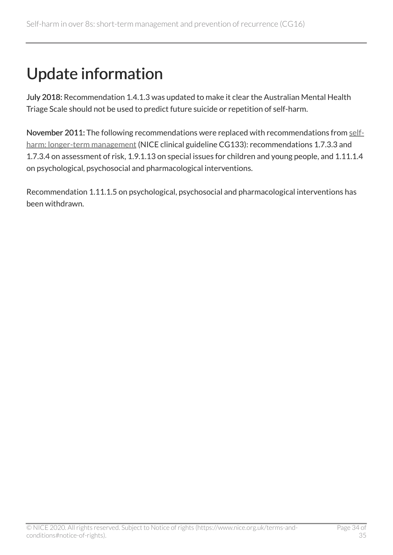# <span id="page-33-0"></span>Update information

July 2018: Recommendation 1.4.1.3 was updated to make it clear the Australian Mental Health Triage Scale should not be used to predict future suicide or repetition of self-harm.

November 2011: The following recommendations were replaced with recommendations from [self](http://www.nice.org.uk/guidance/cg133)[harm: longer-term management](http://www.nice.org.uk/guidance/cg133) (NICE clinical guideline CG133): recommendations 1.7.3.3 and 1.7.3.4 on assessment of risk, 1.9.1.13 on special issues for children and young people, and 1.11.1.4 on psychological, psychosocial and pharmacological interventions.

Recommendation 1.11.1.5 on psychological, psychosocial and pharmacological interventions has been withdrawn.